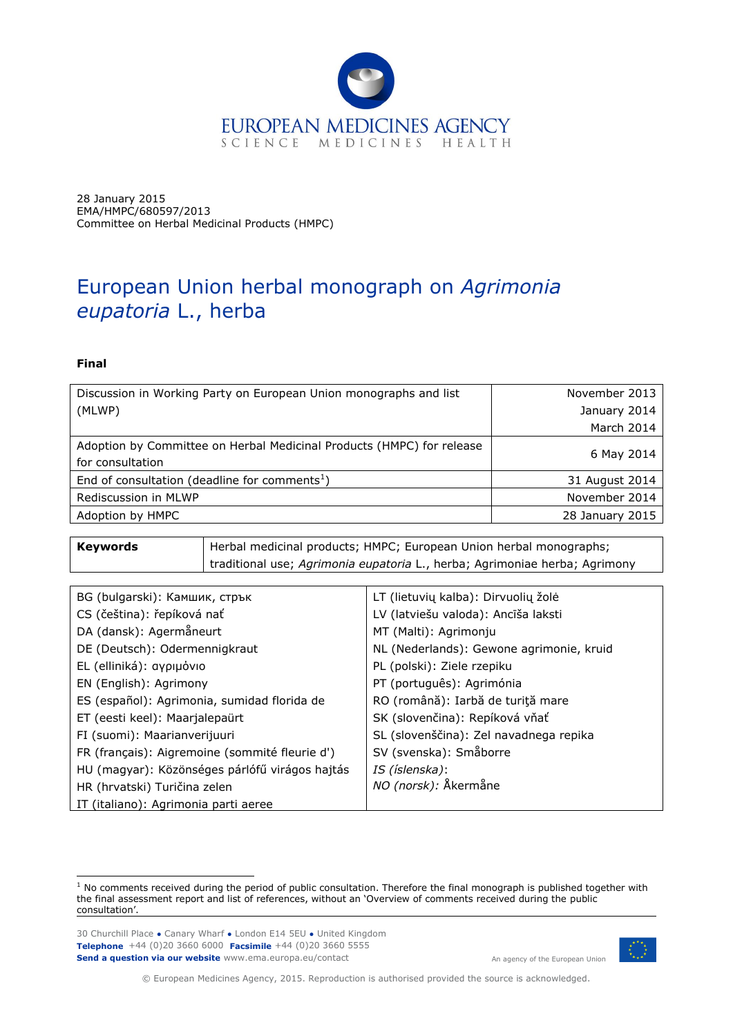

28 January 2015 EMA/HMPC/680597/2013 Committee on Herbal Medicinal Products (HMPC)

# European Union herbal monograph on *Agrimonia eupatoria* L., herba

#### **Final**

ł

| Discussion in Working Party on European Union monographs and list     | November 2013   |
|-----------------------------------------------------------------------|-----------------|
| (MLWP)                                                                | January 2014    |
|                                                                       | March 2014      |
| Adoption by Committee on Herbal Medicinal Products (HMPC) for release |                 |
| for consultation                                                      | 6 May 2014      |
| End of consultation (deadline for comments <sup>1</sup> )             | 31 August 2014  |
| Rediscussion in MLWP                                                  | November 2014   |
| Adoption by HMPC                                                      | 28 January 2015 |
|                                                                       |                 |

| Keywords | Herbal medicinal products; HMPC; European Union herbal monographs;         |
|----------|----------------------------------------------------------------------------|
|          | traditional use; Agrimonia eupatoria L., herba; Agrimoniae herba; Agrimony |

| BG (bulgarski): Камшик, стрък                  | LT (lietuvių kalba): Dirvuolių žolė      |
|------------------------------------------------|------------------------------------------|
| CS (čeština): řepíková nať                     | LV (latviešu valoda): Ancīša laksti      |
| DA (dansk): Agermåneurt                        | MT (Malti): Agrimonju                    |
| DE (Deutsch): Odermennigkraut                  | NL (Nederlands): Gewone agrimonie, kruid |
| EL (elliniká): αγριμόνιο                       | PL (polski): Ziele rzepiku               |
| EN (English): Agrimony                         | PT (português): Agrimónia                |
| ES (español): Agrimonia, sumidad florida de    | RO (română): Iarbă de turiță mare        |
| ET (eesti keel): Maarjalepaürt                 | SK (slovenčina): Repíková vňať           |
| FI (suomi): Maarianverijuuri                   | SL (slovenščina): Zel navadnega repika   |
| FR (français): Aigremoine (sommité fleurie d') | SV (svenska): Småborre                   |
| HU (magyar): Közönséges párlófű virágos hajtás | IS (íslenska):                           |
| HR (hrvatski) Turičina zelen                   | NO (norsk): Åkermåne                     |
| IT (italiano): Agrimonia parti aeree           |                                          |

30 Churchill Place **●** Canary Wharf **●** London E14 5EU **●** United Kingdom **Telephone** +44 (0)20 3660 6000 **Facsimile** +44 (0)20 3660 5555 **Send a question via our website** www.ema.europa.eu/contact



An agency of the European Union

© European Medicines Agency, 2015. Reproduction is authorised provided the source is acknowledged.

 $1$  No comments received during the period of public consultation. Therefore the final monograph is published together with the final assessment report and list of references, without an 'Overview of comments received during the public consultation'.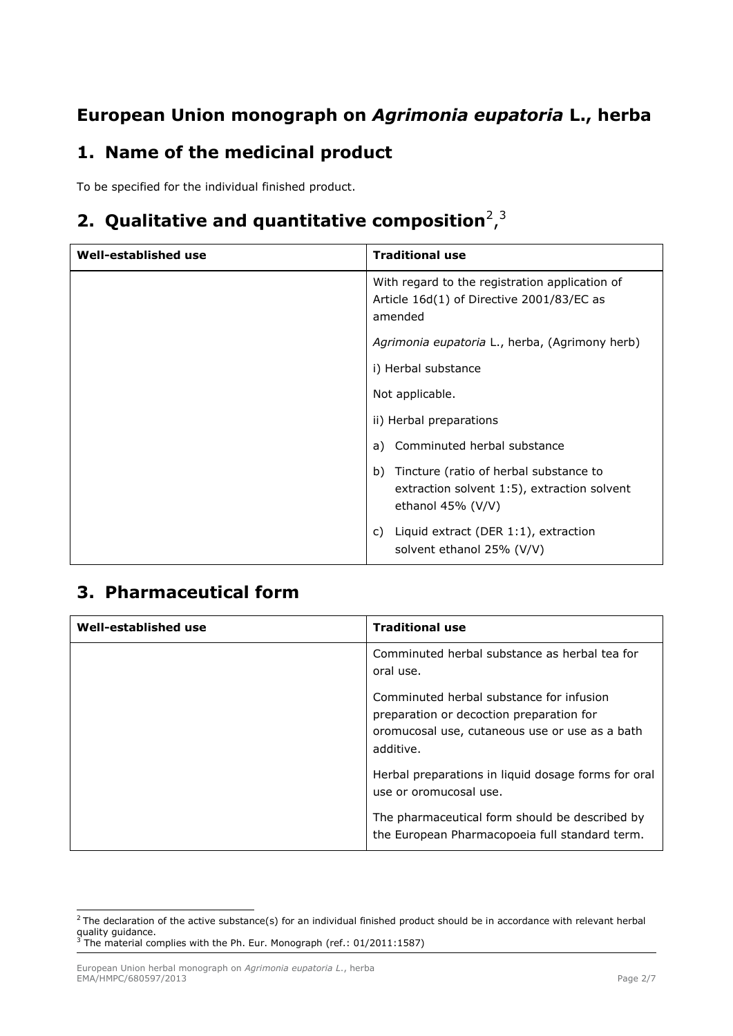# **European Union monograph on** *Agrimonia eupatoria* **L., herba**

## **1. Name of the medicinal product**

To be specified for the individual finished product.

## 2. Qualitative and quantitative composition<sup>2</sup>,<sup>3</sup>

| Well-established use | <b>Traditional use</b>                                                                                              |
|----------------------|---------------------------------------------------------------------------------------------------------------------|
|                      | With regard to the registration application of<br>Article 16d(1) of Directive 2001/83/EC as<br>amended              |
|                      | Agrimonia eupatoria L., herba, (Agrimony herb)                                                                      |
|                      | i) Herbal substance                                                                                                 |
|                      | Not applicable.                                                                                                     |
|                      | ii) Herbal preparations                                                                                             |
|                      | Comminuted herbal substance<br>a)                                                                                   |
|                      | Tincture (ratio of herbal substance to<br>b)<br>extraction solvent 1:5), extraction solvent<br>ethanol $45\%$ (V/V) |
|                      | Liquid extract (DER 1:1), extraction<br>C)<br>solvent ethanol 25% (V/V)                                             |

# **3. Pharmaceutical form**

| Well-established use | <b>Traditional use</b>                                                                                                                              |
|----------------------|-----------------------------------------------------------------------------------------------------------------------------------------------------|
|                      | Comminuted herbal substance as herbal tea for<br>oral use.                                                                                          |
|                      | Comminuted herbal substance for infusion<br>preparation or decoction preparation for<br>oromucosal use, cutaneous use or use as a bath<br>additive. |
|                      | Herbal preparations in liquid dosage forms for oral<br>use or oromucosal use.                                                                       |
|                      | The pharmaceutical form should be described by<br>the European Pharmacopoeia full standard term.                                                    |

ł  $^2$ The declaration of the active substance(s) for an individual finished product should be in accordance with relevant herbal quality guidance.<br><sup>3</sup> The material complies with the Ph. Eur. Monograph (ref.: 01/2011:1587)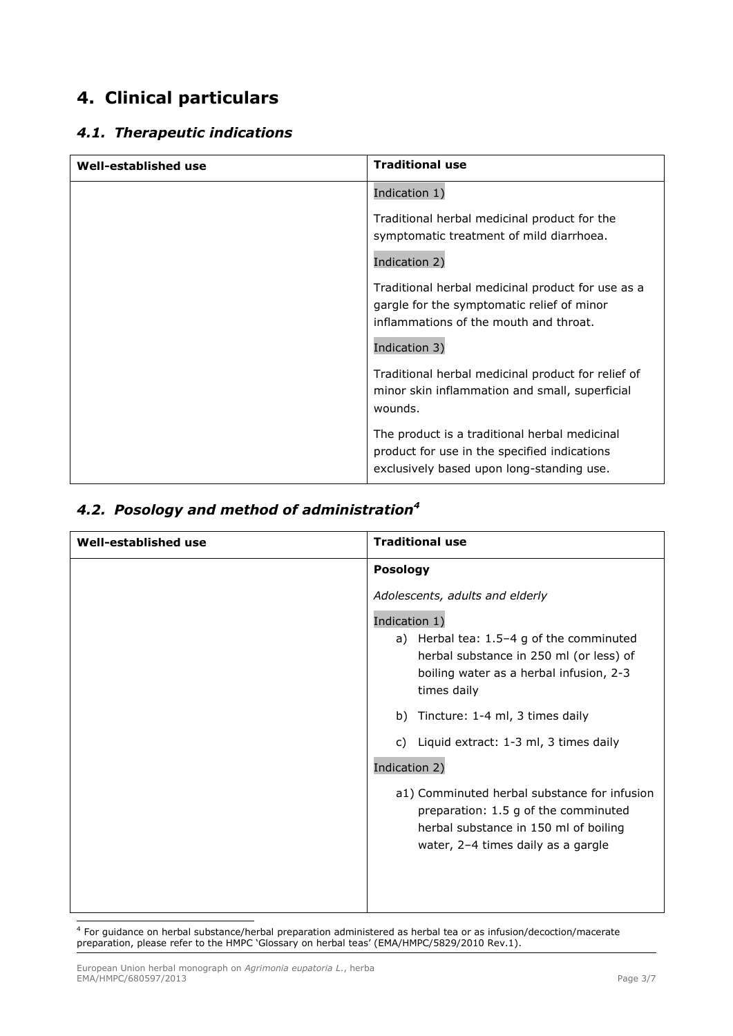## **4. Clinical particulars**

### *4.1. Therapeutic indications*

| Well-established use | <b>Traditional use</b>                                                                                                                     |
|----------------------|--------------------------------------------------------------------------------------------------------------------------------------------|
|                      | Indication 1)                                                                                                                              |
|                      | Traditional herbal medicinal product for the<br>symptomatic treatment of mild diarrhoea.                                                   |
|                      | Indication 2)                                                                                                                              |
|                      | Traditional herbal medicinal product for use as a<br>gargle for the symptomatic relief of minor<br>inflammations of the mouth and throat.  |
|                      | Indication 3)                                                                                                                              |
|                      | Traditional herbal medicinal product for relief of<br>minor skin inflammation and small, superficial<br>wounds.                            |
|                      | The product is a traditional herbal medicinal<br>product for use in the specified indications<br>exclusively based upon long-standing use. |

### *4.2. Posology and method of administration<sup>4</sup>*

| Well-established use | <b>Traditional use</b>                                                                                                                                              |
|----------------------|---------------------------------------------------------------------------------------------------------------------------------------------------------------------|
|                      | <b>Posology</b>                                                                                                                                                     |
|                      | Adolescents, adults and elderly                                                                                                                                     |
|                      | Indication 1)                                                                                                                                                       |
|                      | a) Herbal tea: 1.5-4 g of the comminuted<br>herbal substance in 250 ml (or less) of<br>boiling water as a herbal infusion, 2-3<br>times daily                       |
|                      | b) Tincture: 1-4 ml, 3 times daily                                                                                                                                  |
|                      | c) Liquid extract: 1-3 ml, 3 times daily                                                                                                                            |
|                      | Indication 2)                                                                                                                                                       |
|                      | a1) Comminuted herbal substance for infusion<br>preparation: 1.5 g of the comminuted<br>herbal substance in 150 ml of boiling<br>water, 2-4 times daily as a gargle |

 4 For guidance on herbal substance/herbal preparation administered as herbal tea or as infusion/decoction/macerate preparation, please refer to the HMPC 'Glossary on herbal teas' (EMA/HMPC/5829/2010 Rev.1).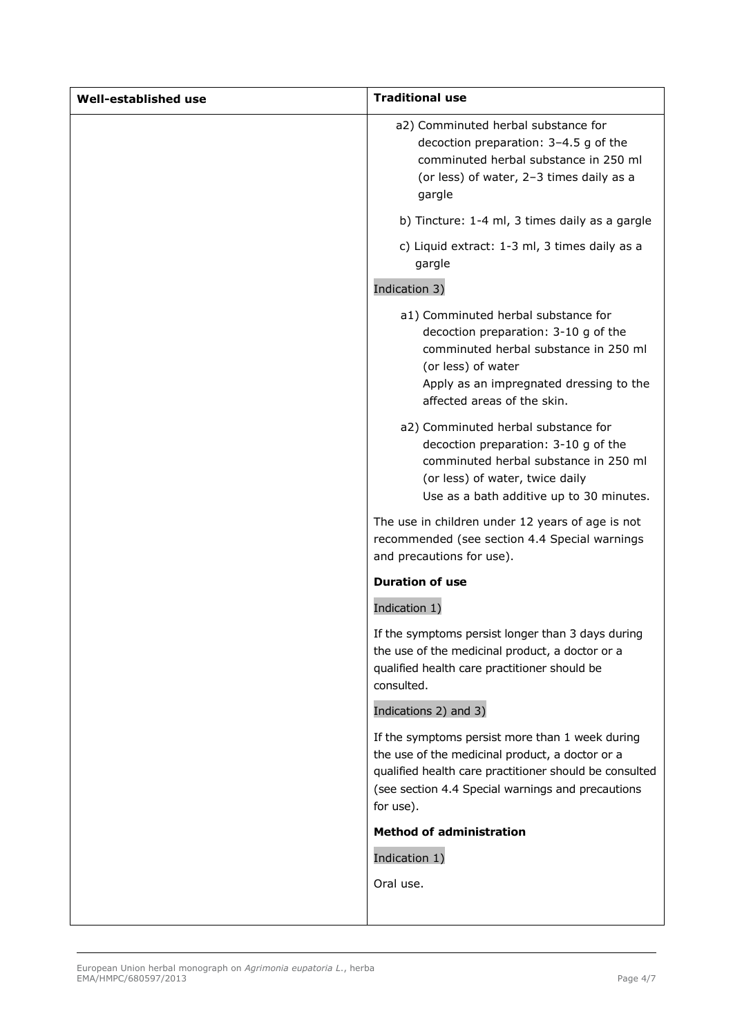| Well-established use | <b>Traditional use</b>                                                                                                                                                                                                         |
|----------------------|--------------------------------------------------------------------------------------------------------------------------------------------------------------------------------------------------------------------------------|
|                      | a2) Comminuted herbal substance for<br>decoction preparation: 3-4.5 g of the<br>comminuted herbal substance in 250 ml<br>(or less) of water, 2-3 times daily as a<br>gargle                                                    |
|                      | b) Tincture: 1-4 ml, 3 times daily as a gargle                                                                                                                                                                                 |
|                      | c) Liquid extract: 1-3 ml, 3 times daily as a<br>gargle                                                                                                                                                                        |
|                      | Indication 3)                                                                                                                                                                                                                  |
|                      | a1) Comminuted herbal substance for<br>decoction preparation: 3-10 g of the<br>comminuted herbal substance in 250 ml<br>(or less) of water<br>Apply as an impregnated dressing to the<br>affected areas of the skin.           |
|                      | a2) Comminuted herbal substance for<br>decoction preparation: 3-10 g of the<br>comminuted herbal substance in 250 ml<br>(or less) of water, twice daily<br>Use as a bath additive up to 30 minutes.                            |
|                      | The use in children under 12 years of age is not<br>recommended (see section 4.4 Special warnings<br>and precautions for use).                                                                                                 |
|                      | <b>Duration of use</b>                                                                                                                                                                                                         |
|                      | Indication 1)                                                                                                                                                                                                                  |
|                      | If the symptoms persist longer than 3 days during<br>the use of the medicinal product, a doctor or a<br>qualified health care practitioner should be<br>consulted.                                                             |
|                      | Indications 2) and 3)                                                                                                                                                                                                          |
|                      | If the symptoms persist more than 1 week during<br>the use of the medicinal product, a doctor or a<br>qualified health care practitioner should be consulted<br>(see section 4.4 Special warnings and precautions<br>for use). |
|                      | <b>Method of administration</b>                                                                                                                                                                                                |
|                      | Indication 1)                                                                                                                                                                                                                  |
|                      | Oral use.                                                                                                                                                                                                                      |
|                      |                                                                                                                                                                                                                                |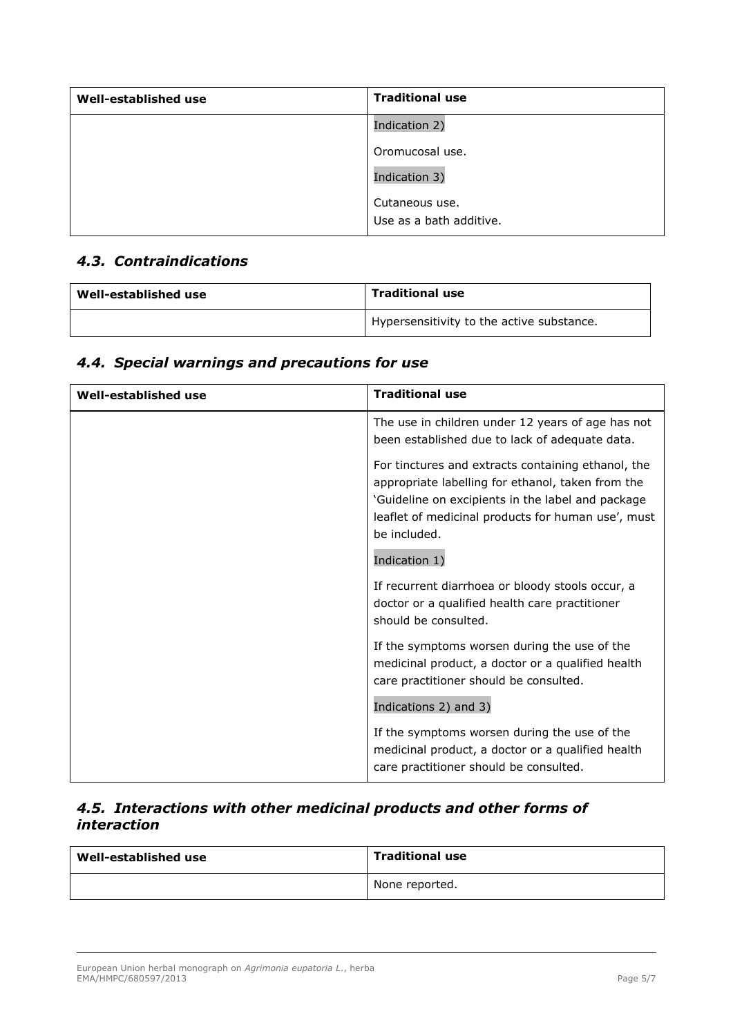| Well-established use | <b>Traditional use</b>  |
|----------------------|-------------------------|
|                      | Indication 2)           |
|                      | Oromucosal use.         |
|                      | Indication 3)           |
|                      | Cutaneous use.          |
|                      | Use as a bath additive. |

### *4.3. Contraindications*

| Well-established use | <b>Traditional use</b>                                 |
|----------------------|--------------------------------------------------------|
|                      | <sup>1</sup> Hypersensitivity to the active substance. |

### *4.4. Special warnings and precautions for use*

| Well-established use | <b>Traditional use</b>                                                                                                                                                                                                             |
|----------------------|------------------------------------------------------------------------------------------------------------------------------------------------------------------------------------------------------------------------------------|
|                      | The use in children under 12 years of age has not<br>been established due to lack of adequate data.                                                                                                                                |
|                      | For tinctures and extracts containing ethanol, the<br>appropriate labelling for ethanol, taken from the<br>'Guideline on excipients in the label and package<br>leaflet of medicinal products for human use', must<br>be included. |
|                      | Indication 1)                                                                                                                                                                                                                      |
|                      | If recurrent diarrhoea or bloody stools occur, a<br>doctor or a qualified health care practitioner<br>should be consulted.                                                                                                         |
|                      | If the symptoms worsen during the use of the<br>medicinal product, a doctor or a qualified health<br>care practitioner should be consulted.                                                                                        |
|                      | Indications 2) and 3)                                                                                                                                                                                                              |
|                      | If the symptoms worsen during the use of the<br>medicinal product, a doctor or a qualified health<br>care practitioner should be consulted.                                                                                        |

### *4.5. Interactions with other medicinal products and other forms of interaction*

| Well-established use | <b>Traditional use</b> |
|----------------------|------------------------|
|                      | None reported.         |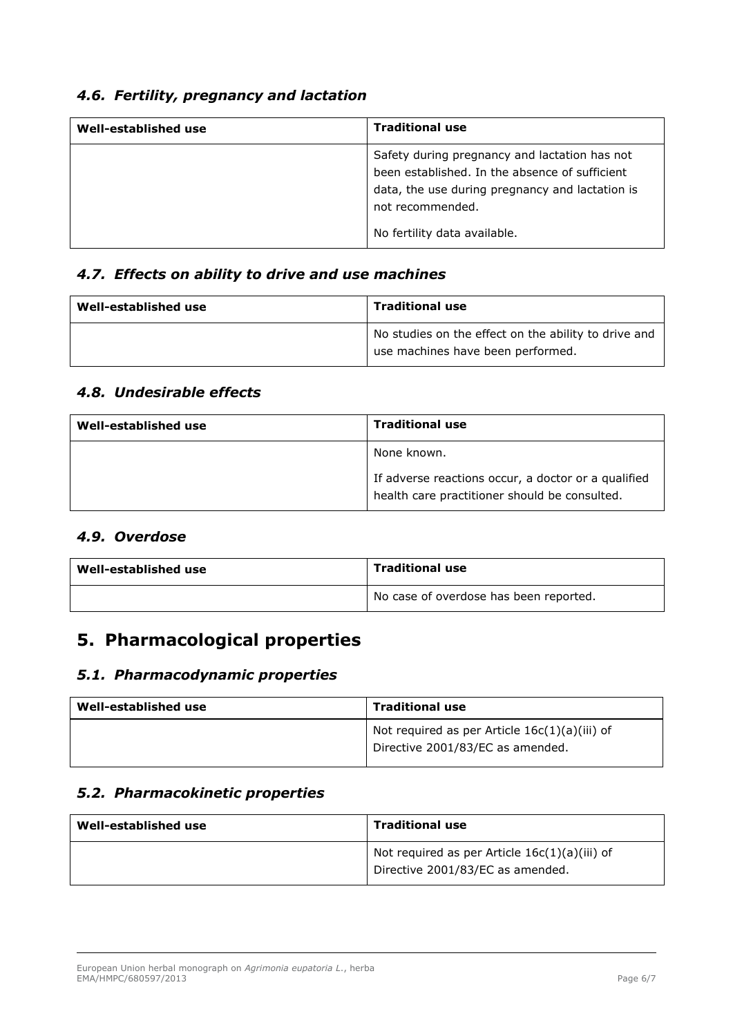### *4.6. Fertility, pregnancy and lactation*

| Well-established use | <b>Traditional use</b>                                                                                                                                                                                 |
|----------------------|--------------------------------------------------------------------------------------------------------------------------------------------------------------------------------------------------------|
|                      | Safety during pregnancy and lactation has not<br>been established. In the absence of sufficient<br>data, the use during pregnancy and lactation is<br>not recommended.<br>No fertility data available. |

#### *4.7. Effects on ability to drive and use machines*

| Well-established use | <b>Traditional use</b>                                                                    |
|----------------------|-------------------------------------------------------------------------------------------|
|                      | No studies on the effect on the ability to drive and<br>use machines have been performed. |

#### *4.8. Undesirable effects*

| Well-established use | <b>Traditional use</b>                                                                               |
|----------------------|------------------------------------------------------------------------------------------------------|
|                      | None known.                                                                                          |
|                      | If adverse reactions occur, a doctor or a qualified<br>health care practitioner should be consulted. |

#### *4.9. Overdose*

| Well-established use | <b>Traditional use</b>                 |
|----------------------|----------------------------------------|
|                      | No case of overdose has been reported. |

## **5. Pharmacological properties**

#### *5.1. Pharmacodynamic properties*

| Well-established use | <b>Traditional use</b>                                                              |
|----------------------|-------------------------------------------------------------------------------------|
|                      | Not required as per Article $16c(1)(a)(iii)$ of<br>Directive 2001/83/EC as amended. |

### *5.2. Pharmacokinetic properties*

| Well-established use | <b>Traditional use</b>                                                              |
|----------------------|-------------------------------------------------------------------------------------|
|                      | Not required as per Article $16c(1)(a)(iii)$ of<br>Directive 2001/83/EC as amended. |